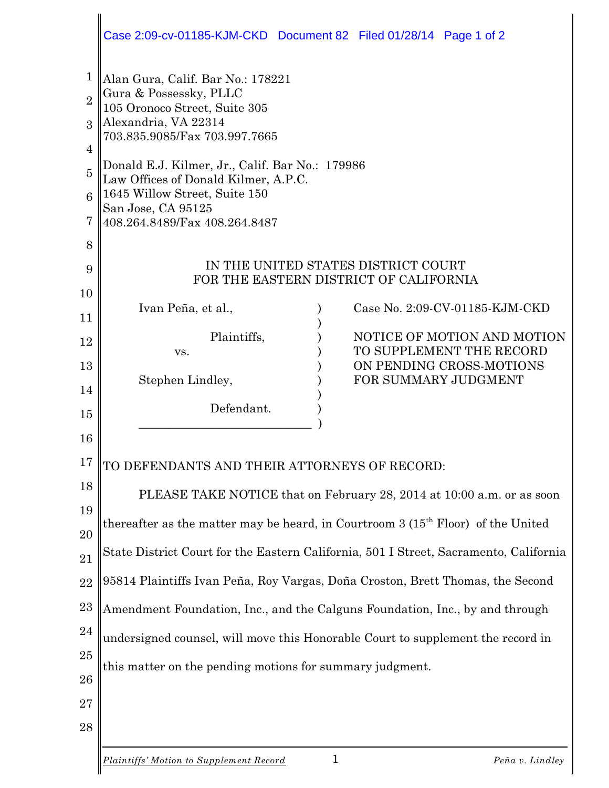|                                                                            | Case 2:09-cv-01185-KJM-CKD Document 82 Filed 01/28/14 Page 1 of 2                                                                                                                                                                                                                                                                        |  |  |  |  |
|----------------------------------------------------------------------------|------------------------------------------------------------------------------------------------------------------------------------------------------------------------------------------------------------------------------------------------------------------------------------------------------------------------------------------|--|--|--|--|
| 1<br>$\overline{2}$<br>$\mathcal{S}$<br>4<br>$\overline{5}$<br>6<br>7<br>8 | Alan Gura, Calif. Bar No.: 178221<br>Gura & Possessky, PLLC<br>105 Oronoco Street, Suite 305<br>Alexandria, VA 22314<br>703.835.9085/Fax 703.997.7665<br>Donald E.J. Kilmer, Jr., Calif. Bar No.: 179986<br>Law Offices of Donald Kilmer, A.P.C.<br>1645 Willow Street, Suite 150<br>San Jose, CA 95125<br>408.264.8489/Fax 408.264.8487 |  |  |  |  |
| 9                                                                          | IN THE UNITED STATES DISTRICT COURT<br>FOR THE EASTERN DISTRICT OF CALIFORNIA                                                                                                                                                                                                                                                            |  |  |  |  |
| 10<br>11                                                                   | Case No. 2:09-CV-01185-KJM-CKD<br>Ivan Peña, et al.,                                                                                                                                                                                                                                                                                     |  |  |  |  |
| 12                                                                         | Plaintiffs,<br>NOTICE OF MOTION AND MOTION<br>TO SUPPLEMENT THE RECORD<br>VS.                                                                                                                                                                                                                                                            |  |  |  |  |
| 13<br>14                                                                   | ON PENDING CROSS-MOTIONS<br>Stephen Lindley,<br>FOR SUMMARY JUDGMENT                                                                                                                                                                                                                                                                     |  |  |  |  |
| 15<br>16                                                                   | Defendant.                                                                                                                                                                                                                                                                                                                               |  |  |  |  |
| 17                                                                         | TO DEFENDANTS AND THEIR ATTORNEYS OF RECORD:                                                                                                                                                                                                                                                                                             |  |  |  |  |
| 18<br>19                                                                   | PLEASE TAKE NOTICE that on February 28, 2014 at 10:00 a.m. or as soon                                                                                                                                                                                                                                                                    |  |  |  |  |
| 20                                                                         | thereafter as the matter may be heard, in Courtroom $3(15th$ Floor) of the United                                                                                                                                                                                                                                                        |  |  |  |  |
| 21                                                                         | State District Court for the Eastern California, 501 I Street, Sacramento, California                                                                                                                                                                                                                                                    |  |  |  |  |
| 22<br>23                                                                   | 95814 Plaintiffs Ivan Peña, Roy Vargas, Doña Croston, Brett Thomas, the Second<br>Amendment Foundation, Inc., and the Calguns Foundation, Inc., by and through                                                                                                                                                                           |  |  |  |  |
| 24                                                                         | undersigned counsel, will move this Honorable Court to supplement the record in                                                                                                                                                                                                                                                          |  |  |  |  |
| 25<br>26                                                                   | this matter on the pending motions for summary judgment.                                                                                                                                                                                                                                                                                 |  |  |  |  |
| 27                                                                         |                                                                                                                                                                                                                                                                                                                                          |  |  |  |  |
| 28                                                                         |                                                                                                                                                                                                                                                                                                                                          |  |  |  |  |